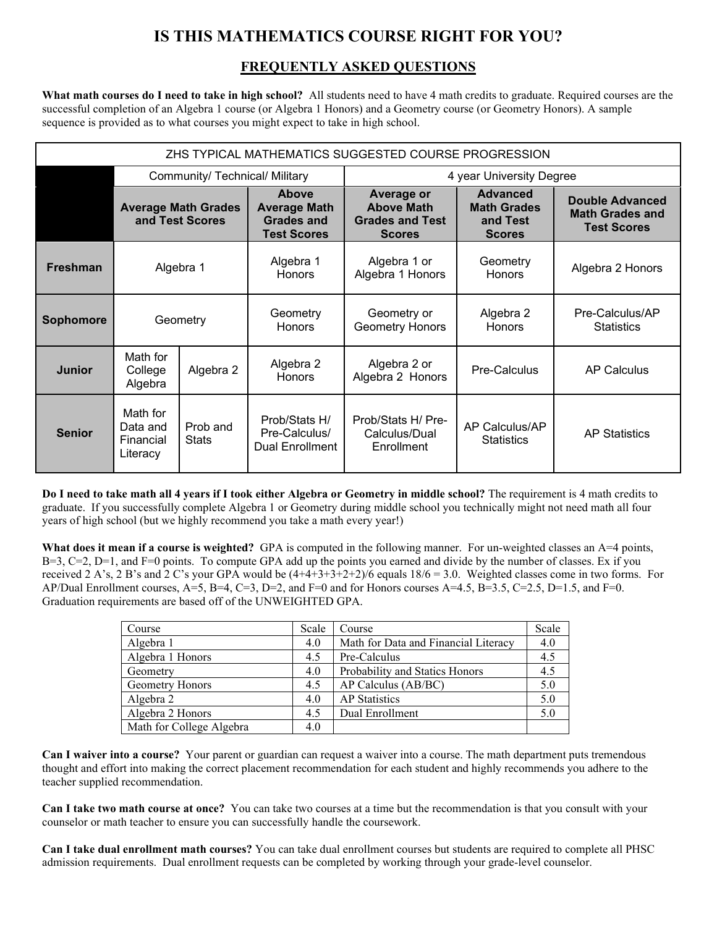## **IS THIS MATHEMATICS COURSE RIGHT FOR YOU?**

## **FREQUENTLY ASKED QUESTIONS**

**What math courses do I need to take in high school?** All students need to have 4 math credits to graduate. Required courses are the successful completion of an Algebra 1 course (or Algebra 1 Honors) and a Geometry course (or Geometry Honors). A sample sequence is provided as to what courses you might expect to take in high school.

| ZHS TYPICAL MATHEMATICS SUGGESTED COURSE PROGRESSION |                                                            |                                               |                                                                         |                                                                                   |                                                                    |                                                                        |  |  |
|------------------------------------------------------|------------------------------------------------------------|-----------------------------------------------|-------------------------------------------------------------------------|-----------------------------------------------------------------------------------|--------------------------------------------------------------------|------------------------------------------------------------------------|--|--|
|                                                      | 4 year University Degree<br>Community/ Technical/ Military |                                               |                                                                         |                                                                                   |                                                                    |                                                                        |  |  |
|                                                      |                                                            | <b>Average Math Grades</b><br>and Test Scores | Above<br><b>Average Math</b><br><b>Grades and</b><br><b>Test Scores</b> | <b>Average or</b><br><b>Above Math</b><br><b>Grades and Test</b><br><b>Scores</b> | <b>Advanced</b><br><b>Math Grades</b><br>and Test<br><b>Scores</b> | <b>Double Advanced</b><br><b>Math Grades and</b><br><b>Test Scores</b> |  |  |
| <b>Freshman</b>                                      |                                                            | Algebra 1                                     | Algebra 1<br><b>Honors</b>                                              | Algebra 1 or<br>Algebra 1 Honors                                                  | Geometry<br><b>Honors</b>                                          | Algebra 2 Honors                                                       |  |  |
| <b>Sophomore</b>                                     |                                                            | Geometry                                      | Geometry<br><b>Honors</b>                                               | Geometry or<br><b>Geometry Honors</b>                                             | Algebra 2<br><b>Honors</b>                                         | Pre-Calculus/AP<br><b>Statistics</b>                                   |  |  |
| <b>Junior</b>                                        | Math for<br>College<br>Algebra                             | Algebra 2                                     | Algebra 2<br><b>Honors</b>                                              | Algebra 2 or<br>Algebra 2 Honors                                                  | Pre-Calculus                                                       | <b>AP Calculus</b>                                                     |  |  |
| <b>Senior</b>                                        | Math for<br>Data and<br>Financial<br>Literacy              | Prob and<br><b>Stats</b>                      | Prob/Stats H/<br>Pre-Calculus/<br>Dual Enrollment                       | Prob/Stats H/ Pre-<br>Calculus/Dual<br>Enrollment                                 | AP Calculus/AP<br><b>Statistics</b>                                | <b>AP Statistics</b>                                                   |  |  |

**Do I need to take math all 4 years if I took either Algebra or Geometry in middle school?** The requirement is 4 math credits to graduate. If you successfully complete Algebra 1 or Geometry during middle school you technically might not need math all four years of high school (but we highly recommend you take a math every year!)

What does it mean if a course is weighted? GPA is computed in the following manner. For un-weighted classes an A=4 points,  $B=3$ ,  $C=2$ ,  $D=1$ , and  $F=0$  points. To compute GPA add up the points you earned and divide by the number of classes. Ex if you received 2 A's, 2 B's and 2 C's your GPA would be  $(4+4+3+3+2+2)/6$  equals  $18/6 = 3.0$ . Weighted classes come in two forms. For AP/Dual Enrollment courses,  $A=5$ ,  $B=4$ ,  $C=3$ ,  $D=2$ , and  $F=0$  and for Honors courses  $A=4.5$ ,  $B=3.5$ ,  $C=2.5$ ,  $D=1.5$ , and  $F=0$ . Graduation requirements are based off of the UNWEIGHTED GPA.

| Course                   | Scale | Course                               | Scale |
|--------------------------|-------|--------------------------------------|-------|
| Algebra 1                | 4.0   | Math for Data and Financial Literacy | 4.0   |
| Algebra 1 Honors         | 4.5   | Pre-Calculus                         | 4.5   |
| Geometry                 | 4.0   | Probability and Statics Honors       | 4.5   |
| Geometry Honors          | 4.5   | AP Calculus (AB/BC)                  | 5.0   |
| Algebra 2                | 4.0   | <b>AP</b> Statistics                 | 5.0   |
| Algebra 2 Honors         | 4.5   | Dual Enrollment                      | 5.0   |
| Math for College Algebra | 4.0   |                                      |       |

**Can I waiver into a course?** Your parent or guardian can request a waiver into a course. The math department puts tremendous thought and effort into making the correct placement recommendation for each student and highly recommends you adhere to the teacher supplied recommendation.

**Can I take two math course at once?** You can take two courses at a time but the recommendation is that you consult with your counselor or math teacher to ensure you can successfully handle the coursework.

**Can I take dual enrollment math courses?** You can take dual enrollment courses but students are required to complete all PHSC admission requirements. Dual enrollment requests can be completed by working through your grade-level counselor.